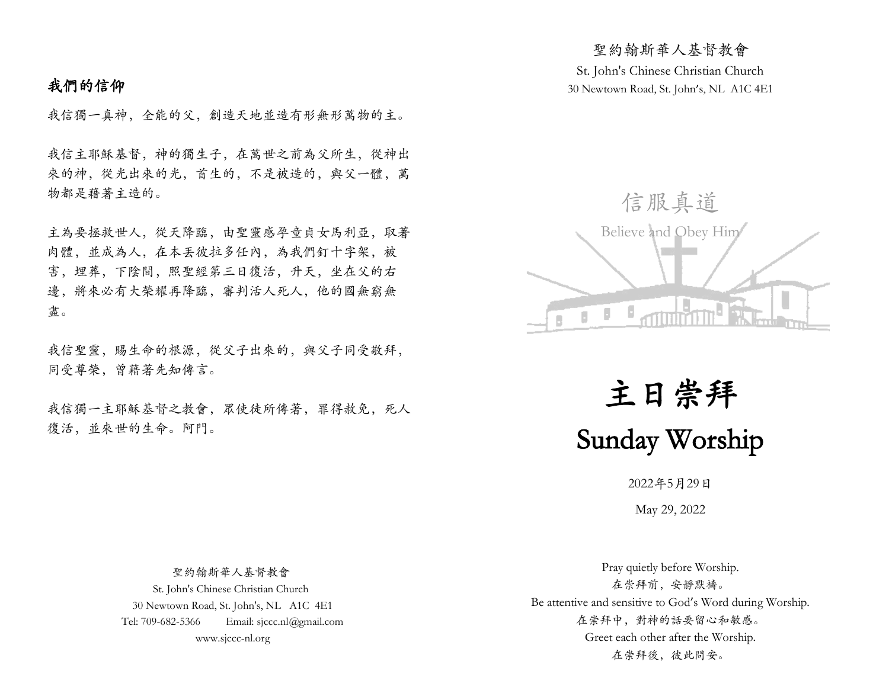# 我們的信仰

我信獨一真神,全能的父,創造天地並造有形無形萬物的主。

我信主耶穌基督,神的獨生子,在萬世之前為父所生,從神出 來的神,從光出來的光,首生的,不是被造的,與父一體,萬 物都是藉著主造的。

主為要拯救世人,從天降臨,由聖靈感孕童貞女馬利亞,取著 肉體,並成為人,在本丟彼拉多任內,為我們釘十字架,被 害,埋葬,下陰間,照聖經第三日復活,升天,坐在父的右 邊,將來必有大榮耀再降臨,審判活人死人,他的國無窮無 盡。

我信聖靈,賜生命的根源,從父子出來的,與父子同受敬拜, 同受尊榮,曾藉著先知傳言。

我信獨一主耶穌基督之教會,眾使徒所傳著,罪得赦免,死人 復活,並來世的生命。阿門。

St. John's Chinese Christian Church 30 Newtown Road, St. John's, NL A1C 4E1

聖約翰斯華人基督教會



主日崇拜 Sunday Worship

2022年5月29日

May 29, 2022

 聖約翰斯華人基督教會 St. John's Chinese Christian Church 30 Newtown Road, St. John's, NL A1C 4E1 Tel: 709-682-5366 Email: sjccc.nl@gmail.com www.sjccc-nl.org

Pray quietly before Worship. 在崇拜前,安靜默禱。 Be attentive and sensitive to God's Word during Worship. 在崇拜中,對神的話要留心和敏感。 Greet each other after the Worship. 在崇拜後, 彼此問安。